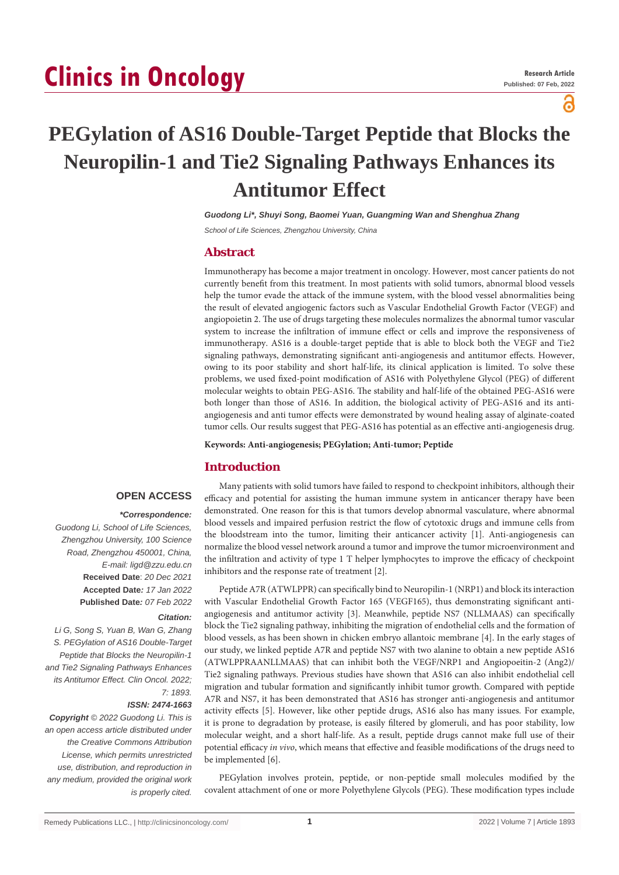# **Clinics in Oncology**

႙

# **PEGylation of AS16 Double-Target Peptide that Blocks the Neuropilin-1 and Tie2 Signaling Pathways Enhances its Antitumor Effect**

*Guodong Li\*, Shuyi Song, Baomei Yuan, Guangming Wan and Shenghua Zhang*

*School of Life Sciences, Zhengzhou University, China*

# **Abstract**

Immunotherapy has become a major treatment in oncology. However, most cancer patients do not currently benefit from this treatment. In most patients with solid tumors, abnormal blood vessels help the tumor evade the attack of the immune system, with the blood vessel abnormalities being the result of elevated angiogenic factors such as Vascular Endothelial Growth Factor (VEGF) and angiopoietin 2. The use of drugs targeting these molecules normalizes the abnormal tumor vascular system to increase the infiltration of immune effect or cells and improve the responsiveness of immunotherapy. AS16 is a double-target peptide that is able to block both the VEGF and Tie2 signaling pathways, demonstrating significant anti-angiogenesis and antitumor effects. However, owing to its poor stability and short half-life, its clinical application is limited. To solve these problems, we used fixed-point modification of AS16 with Polyethylene Glycol (PEG) of different molecular weights to obtain PEG-AS16. The stability and half-life of the obtained PEG-AS16 were both longer than those of AS16. In addition, the biological activity of PEG-AS16 and its antiangiogenesis and anti tumor effects were demonstrated by wound healing assay of alginate-coated tumor cells. Our results suggest that PEG-AS16 has potential as an effective anti-angiogenesis drug.

**Keywords: Anti-angiogenesis; PEGylation; Anti-tumor; Peptide**

# **Introduction**

# **OPEN ACCESS**

#### *\*Correspondence:*

*Guodong Li, School of Life Sciences, Zhengzhou University, 100 Science Road, Zhengzhou 450001, China, E-mail: ligd@zzu.edu.cn* **Received Date**: *20 Dec 2021* **Accepted Date***: 17 Jan 2022* **Published Date***: 07 Feb 2022*

#### *Citation:*

*Li G, Song S, Yuan B, Wan G, Zhang S. PEGylation of AS16 Double-Target Peptide that Blocks the Neuropilin-1 and Tie2 Signaling Pathways Enhances its Antitumor Effect. Clin Oncol. 2022; 7: 1893.*

#### *ISSN: 2474-1663*

*Copyright © 2022 Guodong Li. This is an open access article distributed under the Creative Commons Attribution License, which permits unrestricted use, distribution, and reproduction in any medium, provided the original work is properly cited.*

Many patients with solid tumors have failed to respond to checkpoint inhibitors, although their efficacy and potential for assisting the human immune system in anticancer therapy have been demonstrated. One reason for this is that tumors develop abnormal vasculature, where abnormal blood vessels and impaired perfusion restrict the flow of cytotoxic drugs and immune cells from the bloodstream into the tumor, limiting their anticancer activity [1]. Anti-angiogenesis can normalize the blood vessel network around a tumor and improve the tumor microenvironment and the infiltration and activity of type 1 T helper lymphocytes to improve the efficacy of checkpoint inhibitors and the response rate of treatment [2].

Peptide A7R (ATWLPPR) can specifically bind to Neuropilin-1 (NRP1) and block its interaction with Vascular Endothelial Growth Factor 165 (VEGF165), thus demonstrating significant antiangiogenesis and antitumor activity [3]. Meanwhile, peptide NS7 (NLLMAAS) can specifically block the Tie2 signaling pathway, inhibiting the migration of endothelial cells and the formation of blood vessels, as has been shown in chicken embryo allantoic membrane [4]. In the early stages of our study, we linked peptide A7R and peptide NS7 with two alanine to obtain a new peptide AS16 (ATWLPPRAANLLMAAS) that can inhibit both the VEGF/NRP1 and Angiopoeitin-2 (Ang2)/ Tie2 signaling pathways. Previous studies have shown that AS16 can also inhibit endothelial cell migration and tubular formation and significantly inhibit tumor growth. Compared with peptide A7R and NS7, it has been demonstrated that AS16 has stronger anti-angiogenesis and antitumor activity effects [5]. However, like other peptide drugs, AS16 also has many issues. For example, it is prone to degradation by protease, is easily filtered by glomeruli, and has poor stability, low molecular weight, and a short half-life. As a result, peptide drugs cannot make full use of their potential efficacy *in vivo*, which means that effective and feasible modifications of the drugs need to be implemented [6].

PEGylation involves protein, peptide, or non-peptide small molecules modified by the covalent attachment of one or more Polyethylene Glycols (PEG). These modification types include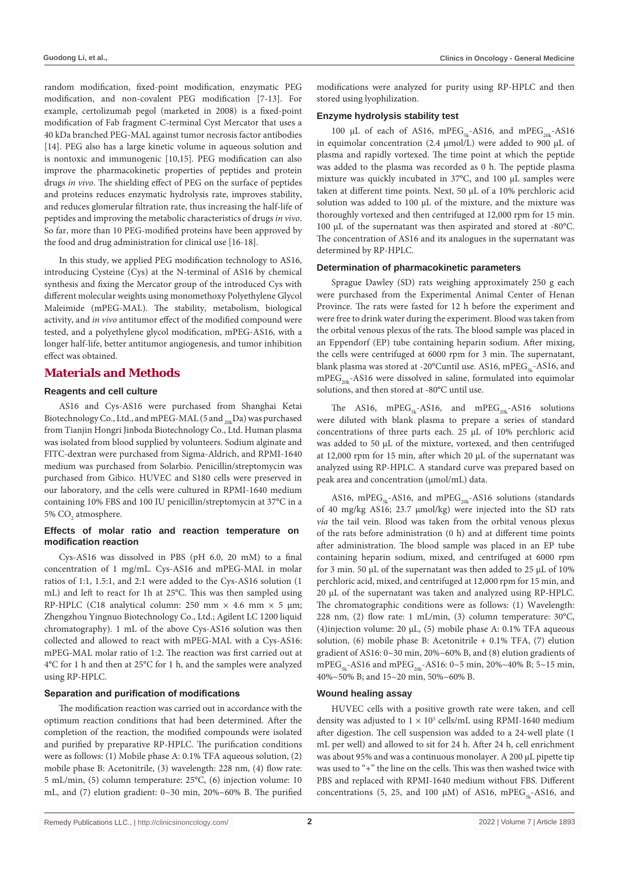random modification, fixed-point modification, enzymatic PEG modification, and non-covalent PEG modification [7-13]. For example, certolizumab pegol (marketed in 2008) is a fixed-point modification of Fab fragment C-terminal Cyst Mercator that uses a 40 kDa branched PEG-MAL against tumor necrosis factor antibodies [14]. PEG also has a large kinetic volume in aqueous solution and is nontoxic and immunogenic [10,15]. PEG modification can also improve the pharmacokinetic properties of peptides and protein drugs *in vivo*. The shielding effect of PEG on the surface of peptides and proteins reduces enzymatic hydrolysis rate, improves stability, and reduces glomerular filtration rate, thus increasing the half-life of peptides and improving the metabolic characteristics of drugs *in vivo*. So far, more than 10 PEG-modified proteins have been approved by the food and drug administration for clinical use [16-18].

In this study, we applied PEG modification technology to AS16, introducing Cysteine (Cys) at the N-terminal of AS16 by chemical synthesis and fixing the Mercator group of the introduced Cys with different molecular weights using monomethoxy Polyethylene Glycol Maleimide (mPEG-MAL). The stability, metabolism, biological activity, and *in vivo* antitumor effect of the modified compound were tested, and a polyethylene glycol modification, mPEG-AS16, with a longer half-life, better antitumor angiogenesis, and tumor inhibition effect was obtained.

# **Materials and Methods**

#### **Reagents and cell culture**

AS16 and Cys-AS16 were purchased from Shanghai Ketai Biotechnology Co., Ltd., and mPEG-MAL (5 and  $_{20k}$ Da) was purchased from Tianjin Hongri Jinboda Biotechnology Co., Ltd. Human plasma was isolated from blood supplied by volunteers. Sodium alginate and FITC-dextran were purchased from Sigma-Aldrich, and RPMI-1640 medium was purchased from Solarbio. Penicillin/streptomycin was purchased from Gibico. HUVEC and S180 cells were preserved in our laboratory, and the cells were cultured in RPMI-1640 medium containing 10% FBS and 100 IU penicillin/streptomycin at 37°C in a 5% CO<sub>2</sub> atmosphere.

#### **Effects of molar ratio and reaction temperature on modification reaction**

Cys-AS16 was dissolved in PBS (pH 6.0, 20 mM) to a final concentration of 1 mg/mL. Cys-AS16 and mPEG-MAL in molar ratios of 1:1, 1.5:1, and 2:1 were added to the Cys-AS16 solution (1 mL) and left to react for 1h at 25°C. This was then sampled using RP-HPLC (C18 analytical column: 250 mm  $\times$  4.6 mm  $\times$  5 µm; Zhengzhou Yingnuo Biotechnology Co., Ltd.; Agilent LC 1200 liquid chromatography). 1 mL of the above Cys-AS16 solution was then collected and allowed to react with mPEG-MAL with a Cys-AS16: mPEG-MAL molar ratio of 1:2. The reaction was first carried out at 4°C for 1 h and then at 25°C for 1 h, and the samples were analyzed using RP-HPLC.

#### **Separation and purification of modifications**

The modification reaction was carried out in accordance with the optimum reaction conditions that had been determined. After the completion of the reaction, the modified compounds were isolated and purified by preparative RP-HPLC. The purification conditions were as follows: (1) Mobile phase A: 0.1% TFA aqueous solution, (2) mobile phase B: Acetonitrile, (3) wavelength: 228 nm, (4) flow rate: 5 mL/min, (5) column temperature: 25°C, (6) injection volume: 10 mL, and (7) elution gradient: 0~30 min, 20%~60% B. The purified modifications were analyzed for purity using RP-HPLC and then stored using lyophilization.

#### **Enzyme hydrolysis stability test**

100 µL of each of AS16, mPEG<sub>5k</sub>-AS16, and mPEG<sub>20k</sub>-AS16 in equimolar concentration  $(2.4 \mu mol/L)$  were added to 900  $\mu$ L of plasma and rapidly vortexed. The time point at which the peptide was added to the plasma was recorded as 0 h. The peptide plasma mixture was quickly incubated in 37°C, and 100 µL samples were taken at different time points. Next, 50 µL of a 10% perchloric acid solution was added to 100 µL of the mixture, and the mixture was thoroughly vortexed and then centrifuged at 12,000 rpm for 15 min. 100 µL of the supernatant was then aspirated and stored at -80°C. The concentration of AS16 and its analogues in the supernatant was determined by RP-HPLC.

#### **Determination of pharmacokinetic parameters**

Sprague Dawley (SD) rats weighing approximately 250 g each were purchased from the Experimental Animal Center of Henan Province. The rats were fasted for 12 h before the experiment and were free to drink water during the experiment. Blood was taken from the orbital venous plexus of the rats. The blood sample was placed in an Eppendorf (EP) tube containing heparin sodium. After mixing, the cells were centrifuged at 6000 rpm for 3 min. The supernatant, blank plasma was stored at -20°Cuntil use. AS16, mPEG<sub>5k</sub>-AS16, and  $mPEG_{20k}$ -AS16 were dissolved in saline, formulated into equimolar solutions, and then stored at -80°C until use.

The AS16, mPEG<sub>5k</sub>-AS16, and mPEG<sub>20k</sub>-AS16 solutions were diluted with blank plasma to prepare a series of standard concentrations of three parts each. 25 µL of 10% perchloric acid was added to 50 µL of the mixture, vortexed, and then centrifuged at 12,000 rpm for 15 min, after which 20 µL of the supernatant was analyzed using RP-HPLC. A standard curve was prepared based on peak area and concentration (µmol/mL) data.

AS16, mPEG<sub>5k</sub>-AS16, and mPEG<sub>20k</sub>-AS16 solutions (standards of 40 mg/kg AS16; 23.7 µmol/kg) were injected into the SD rats *via* the tail vein. Blood was taken from the orbital venous plexus of the rats before administration (0 h) and at different time points after administration. The blood sample was placed in an EP tube containing heparin sodium, mixed, and centrifuged at 6000 rpm for 3 min. 50  $\mu$ L of the supernatant was then added to 25  $\mu$ L of 10% perchloric acid, mixed, and centrifuged at 12,000 rpm for 15 min, and 20 µL of the supernatant was taken and analyzed using RP-HPLC. The chromatographic conditions were as follows: (1) Wavelength: 228 nm, (2) flow rate: 1 mL/min, (3) column temperature: 30°C, (4)injection volume: 20 µL, (5) mobile phase A: 0.1% TFA aqueous solution, (6) mobile phase B: Acetonitrile + 0.1% TFA, (7) elution gradient of AS16: 0~30 min, 20%~60% B, and (8) elution gradients of mPEG<sub>5k</sub>-AS16 and mPEG<sub>20k</sub>-AS16: 0~5 min, 20%~40% B; 5~15 min, 40%~50% B; and 15~20 min, 50%~60% B.

#### **Wound healing assay**

HUVEC cells with a positive growth rate were taken, and cell density was adjusted to  $1 \times 10^5$  cells/mL using RPMI-1640 medium after digestion. The cell suspension was added to a 24-well plate (1 mL per well) and allowed to sit for 24 h. After 24 h, cell enrichment was about 95% and was a continuous monolayer. A 200 µL pipette tip was used to "+" the line on the cells. This was then washed twice with PBS and replaced with RPMI-1640 medium without FBS. Different concentrations (5, 25, and 100  $\mu$ M) of AS16, mPEG<sub>EL</sub>-AS16, and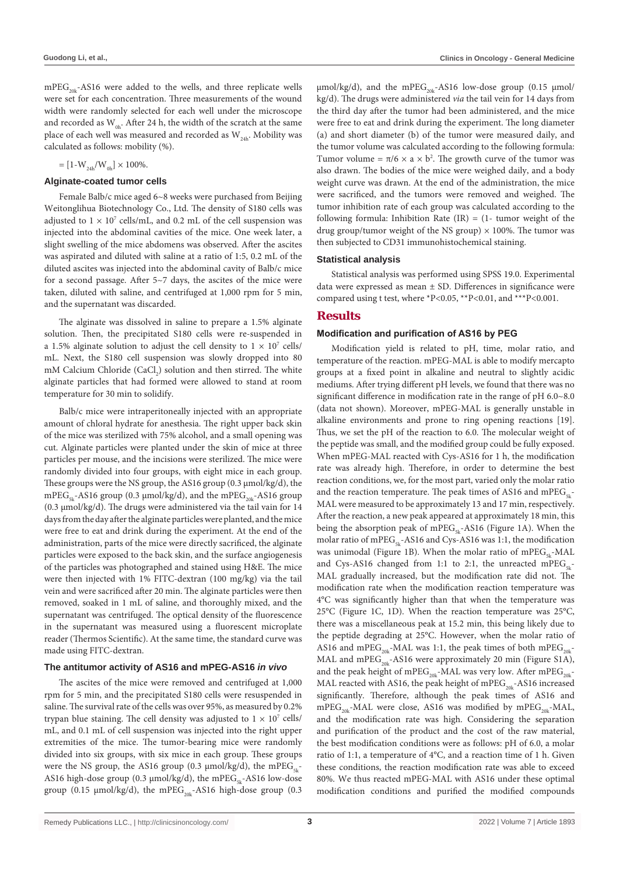$mPEG_{20k}$ -AS16 were added to the wells, and three replicate wells were set for each concentration. Three measurements of the wound width were randomly selected for each well under the microscope and recorded as  $W_{ab}$ . After 24 h, the width of the scratch at the same place of each well was measured and recorded as  $W_{24h}$ . Mobility was calculated as follows: mobility (%).

$$
= [1\text{-}W_{_{24\text{h}}}/W_{_{0\text{h}}}]\times 100\%.
$$

#### **Alginate-coated tumor cells**

Female Balb/c mice aged 6~8 weeks were purchased from Beijing Weitonglihua Biotechnology Co., Ltd. The density of S180 cells was adjusted to  $1 \times 10^7$  cells/mL, and 0.2 mL of the cell suspension was injected into the abdominal cavities of the mice. One week later, a slight swelling of the mice abdomens was observed. After the ascites was aspirated and diluted with saline at a ratio of 1:5, 0.2 mL of the diluted ascites was injected into the abdominal cavity of Balb/c mice for a second passage. After 5~7 days, the ascites of the mice were taken, diluted with saline, and centrifuged at 1,000 rpm for 5 min, and the supernatant was discarded.

The alginate was dissolved in saline to prepare a 1.5% alginate solution. Then, the precipitated S180 cells were re-suspended in a 1.5% alginate solution to adjust the cell density to  $1 \times 10^7$  cells/ mL. Next, the S180 cell suspension was slowly dropped into 80 mM Calcium Chloride (CaCl<sub>2</sub>) solution and then stirred. The white alginate particles that had formed were allowed to stand at room temperature for 30 min to solidify.

Balb/c mice were intraperitoneally injected with an appropriate amount of chloral hydrate for anesthesia. The right upper back skin of the mice was sterilized with 75% alcohol, and a small opening was cut. Alginate particles were planted under the skin of mice at three particles per mouse, and the incisions were sterilized. The mice were randomly divided into four groups, with eight mice in each group. These groups were the NS group, the AS16 group (0.3 µmol/kg/d), the mPEG<sub>5k</sub>-AS16 group (0.3 µmol/kg/d), and the mPEG<sub>20k</sub>-AS16 group (0.3 µmol/kg/d). The drugs were administered via the tail vain for 14 days from the day after the alginate particles were planted, and the mice were free to eat and drink during the experiment. At the end of the administration, parts of the mice were directly sacrificed, the alginate particles were exposed to the back skin, and the surface angiogenesis of the particles was photographed and stained using H&E. The mice were then injected with 1% FITC-dextran (100 mg/kg) via the tail vein and were sacrificed after 20 min. The alginate particles were then removed, soaked in 1 mL of saline, and thoroughly mixed, and the supernatant was centrifuged. The optical density of the fluorescence in the supernatant was measured using a fluorescent microplate reader (Thermos Scientific). At the same time, the standard curve was made using FITC-dextran.

#### **The antitumor activity of AS16 and mPEG-AS16** *in vivo*

The ascites of the mice were removed and centrifuged at 1,000 rpm for 5 min, and the precipitated S180 cells were resuspended in saline. The survival rate of the cells was over 95%, as measured by 0.2% trypan blue staining. The cell density was adjusted to  $1 \times 10^7$  cells/ mL, and 0.1 mL of cell suspension was injected into the right upper extremities of the mice. The tumor-bearing mice were randomly divided into six groups, with six mice in each group. These groups were the NS group, the AS16 group (0.3  $\mu$ mol/kg/d), the mPEG<sub>EL</sub>-AS16 high-dose group (0.3  $\mu$ mol/kg/d), the mPEG<sub>5k</sub>-AS16 low-dose group (0.15  $\mu$ mol/kg/d), the mPEG<sub>20k</sub>-AS16 high-dose group (0.3  $\mu$ mol/kg/d), and the mPEG<sub>20k</sub>-AS16 low-dose group (0.15  $\mu$ mol/ kg/d). The drugs were administered *via* the tail vein for 14 days from the third day after the tumor had been administered, and the mice were free to eat and drink during the experiment. The long diameter (a) and short diameter (b) of the tumor were measured daily, and the tumor volume was calculated according to the following formula: Tumor volume =  $\pi/6 \times a \times b^2$ . The growth curve of the tumor was also drawn. The bodies of the mice were weighed daily, and a body weight curve was drawn. At the end of the administration, the mice were sacrificed, and the tumors were removed and weighed. The tumor inhibition rate of each group was calculated according to the following formula: Inhibition Rate  $(IR) = (1 - \text{tumor weight of the})$ drug group/tumor weight of the NS group)  $\times$  100%. The tumor was then subjected to CD31 immunohistochemical staining.

#### **Statistical analysis**

Statistical analysis was performed using SPSS 19.0. Experimental data were expressed as mean  $\pm$  SD. Differences in significance were compared using t test, where \*P<0.05, \*\*P<0.01, and \*\*\*P<0.001.

#### **Results**

#### **Modification and purification of AS16 by PEG**

Modification yield is related to pH, time, molar ratio, and temperature of the reaction. mPEG-MAL is able to modify mercapto groups at a fixed point in alkaline and neutral to slightly acidic mediums. After trying different pH levels, we found that there was no significant difference in modification rate in the range of pH 6.0~8.0 (data not shown). Moreover, mPEG-MAL is generally unstable in alkaline environments and prone to ring opening reactions [19]. Thus, we set the pH of the reaction to 6.0. The molecular weight of the peptide was small, and the modified group could be fully exposed. When mPEG-MAL reacted with Cys-AS16 for 1 h, the modification rate was already high. Therefore, in order to determine the best reaction conditions, we, for the most part, varied only the molar ratio and the reaction temperature. The peak times of AS16 and mPEG<sub> $5k$ -</sub> MAL were measured to be approximately 13 and 17 min, respectively. After the reaction, a new peak appeared at approximately 18 min, this being the absorption peak of mPEG<sub>5k</sub>-AS16 (Figure 1A). When the molar ratio of mPEG<sub>5k</sub>-AS16 and Cys-AS16 was 1:1, the modification was unimodal (Figure 1B). When the molar ratio of mPEG<sub>5k</sub>-MAL and Cys-AS16 changed from 1:1 to 2:1, the unreacted mPEG<sub>5k</sub>-MAL gradually increased, but the modification rate did not. The modification rate when the modification reaction temperature was 4°C was significantly higher than that when the temperature was 25°C (Figure 1C, 1D). When the reaction temperature was 25°C, there was a miscellaneous peak at 15.2 min, this being likely due to the peptide degrading at 25°C. However, when the molar ratio of AS16 and mPEG<sub>20k</sub>-MAL was 1:1, the peak times of both mPEG<sub>20k</sub>-MAL and mPEG<sub>20k</sub>-AS16 were approximately 20 min (Figure S1A), and the peak height of mPEG<sub>20k</sub>-MAL was very low. After mPEG<sub>20k</sub>-MAL reacted with AS16, the peak height of mPEG<sub>20k</sub>-AS16 increased significantly. Therefore, although the peak times of AS16 and mPEG<sub>20k</sub>-MAL were close, AS16 was modified by mPEG<sub>20k</sub>-MAL, and the modification rate was high. Considering the separation and purification of the product and the cost of the raw material, the best modification conditions were as follows: pH of 6.0, a molar ratio of 1:1, a temperature of 4°C, and a reaction time of 1 h. Given these conditions, the reaction modification rate was able to exceed 80%. We thus reacted mPEG-MAL with AS16 under these optimal modification conditions and purified the modified compounds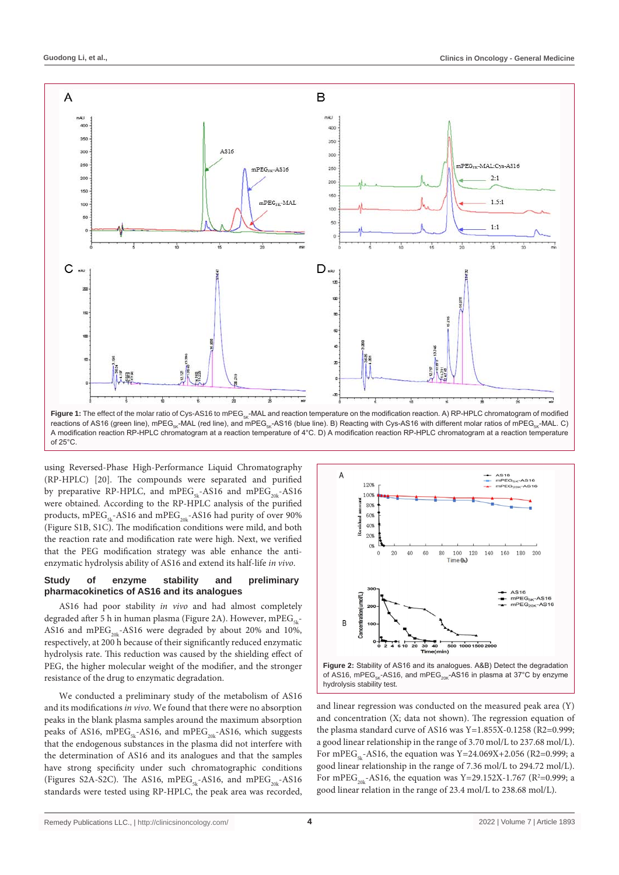

A modification reaction RP-HPLC chromatogram at a reaction temperature of 4°C. D) A modification reaction RP-HPLC chromatogram at a reaction temperature of 25°C.

using Reversed-Phase High-Performance Liquid Chromatography (RP-HPLC) [20]. The compounds were separated and purified by preparative RP-HPLC, and mPEG<sub>5k</sub>-AS16 and mPEG<sub>20k</sub>-AS16 were obtained. According to the RP-HPLC analysis of the purified products, mPEG<sub>5k</sub>-AS16 and mPEG<sub>20k</sub>-AS16 had purity of over 90% (Figure S1B, S1C). The modification conditions were mild, and both the reaction rate and modification rate were high. Next, we verified that the PEG modification strategy was able enhance the antienzymatic hydrolysis ability of AS16 and extend its half-life *in vivo*.

#### **Study of enzyme stability and preliminary pharmacokinetics of AS16 and its analogues**

AS16 had poor stability *in vivo* and had almost completely degraded after 5 h in human plasma (Figure 2A). However, mPE $G_{5k}$ -AS16 and mPEG<sub>20k</sub>-AS16 were degraded by about 20% and 10%, respectively, at 200 h because of their significantly reduced enzymatic hydrolysis rate. This reduction was caused by the shielding effect of PEG, the higher molecular weight of the modifier, and the stronger resistance of the drug to enzymatic degradation.

We conducted a preliminary study of the metabolism of AS16 and its modifications *in vivo*. We found that there were no absorption peaks in the blank plasma samples around the maximum absorption peaks of AS16, mPEG<sub>5k</sub>-AS16, and mPEG<sub>20k</sub>-AS16, which suggests that the endogenous substances in the plasma did not interfere with the determination of AS16 and its analogues and that the samples have strong specificity under such chromatographic conditions (Figures S2A-S2C). The AS16, mPEG<sub>5k</sub>-AS16, and mPEG<sub>20k</sub>-AS16 standards were tested using RP-HPLC, the peak area was recorded,





and linear regression was conducted on the measured peak area (Y) and concentration (X; data not shown). The regression equation of the plasma standard curve of AS16 was Y=1.855X-0.1258 (R2=0.999; a good linear relationship in the range of 3.70 mol/L to 237.68 mol/L). For mPEG<sub>5k</sub>-AS16, the equation was Y=24.069X+2.056 (R2=0.999; a good linear relationship in the range of 7.36 mol/L to 294.72 mol/L). For mPEG<sub>20k</sub>-AS16, the equation was Y=29.152X-1.767 ( $R^2$ =0.999; a good linear relation in the range of 23.4 mol/L to 238.68 mol/L).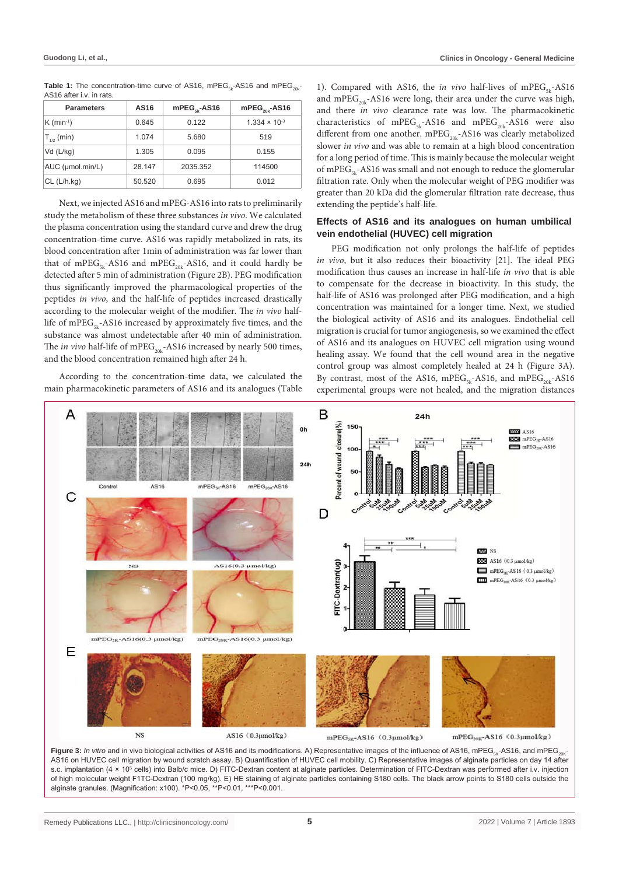| AU IU AILUI I.V. III IALD. |        |                       |                          |
|----------------------------|--------|-----------------------|--------------------------|
| <b>Parameters</b>          | AS16   | $mPEG_{\kappa}$ -AS16 | $mPEG_{\text{out}}-AS16$ |
| $K$ (min <sup>-1</sup> )   | 0.645  | 0.122                 | $1.334 \times 10^{-3}$   |
| $T_{1/2}$ (min)            | 1.074  | 5.680                 | 519                      |
| $Vd$ ( $L/kg$ )            | 1.305  | 0.095                 | 0.155                    |
| AUC (µmol.min/L)           | 28.147 | 2035.352              | 114500                   |
| $CL$ ( $L/h.kq$ )          | 50.520 | 0.695                 | 0.012                    |

**Table 1:** The concentration-time curve of AS16, mPEG<sub>5k</sub>-AS16 and mPEG<sub>20k</sub>-AS16 after i.v. in rats.

Next, we injected AS16 and mPEG-AS16 into rats to preliminarily study the metabolism of these three substances *in vivo*. We calculated the plasma concentration using the standard curve and drew the drug concentration-time curve. AS16 was rapidly metabolized in rats, its blood concentration after 1min of administration was far lower than that of mPEG<sub>5k</sub>-AS16 and mPEG<sub>20k</sub>-AS16, and it could hardly be detected after 5 min of administration (Figure 2B). PEG modification thus significantly improved the pharmacological properties of the peptides *in vivo*, and the half-life of peptides increased drastically according to the molecular weight of the modifier. The *in vivo* halflife of mPEG<sub>5k</sub>-AS16 increased by approximately five times, and the substance was almost undetectable after 40 min of administration. The *in vivo* half-life of mPEG<sub>20k</sub>-AS16 increased by nearly 500 times, and the blood concentration remained high after 24 h.

According to the concentration-time data, we calculated the main pharmacokinetic parameters of AS16 and its analogues (Table

1). Compared with AS16, the *in vivo* half-lives of mPEG<sub>5k</sub>-AS16 and mPEG<sub>20k</sub>-AS16 were long, their area under the curve was high, and there *in vivo* clearance rate was low. The pharmacokinetic characteristics of mPEG<sub>5k</sub>-AS16 and mPEG<sub>20k</sub>-AS16 were also different from one another. mPEG<sub>20k</sub>-AS16 was clearly metabolized slower *in vivo* and was able to remain at a high blood concentration for a long period of time. This is mainly because the molecular weight of mPEG<sub>5k</sub>-AS16 was small and not enough to reduce the glomerular filtration rate. Only when the molecular weight of PEG modifier was greater than 20 kDa did the glomerular filtration rate decrease, thus extending the peptide's half-life.

#### **Effects of AS16 and its analogues on human umbilical vein endothelial (HUVEC) cell migration**

PEG modification not only prolongs the half-life of peptides *in vivo*, but it also reduces their bioactivity [21]. The ideal PEG modification thus causes an increase in half-life *in vivo* that is able to compensate for the decrease in bioactivity. In this study, the half-life of AS16 was prolonged after PEG modification, and a high concentration was maintained for a longer time. Next, we studied the biological activity of AS16 and its analogues. Endothelial cell migration is crucial for tumor angiogenesis, so we examined the effect of AS16 and its analogues on HUVEC cell migration using wound healing assay. We found that the cell wound area in the negative control group was almost completely healed at 24 h (Figure 3A). By contrast, most of the AS16, mPEG<sub>5k</sub>-AS16, and mPEG<sub>20k</sub>-AS16 experimental groups were not healed, and the migration distances



AS16 on HUVEC cell migration by wound scratch assay. B) Quantification of HUVEC cell mobility. C) Representative images of alginate particles on day 14 after s.c. implantation (4 × 10<sup>5</sup> cells) into Balb/c mice. D) FITC-Dextran content at alginate particles. Determination of FITC-Dextran was performed after i.v. injection of high molecular weight F1TC-Dextran (100 mg/kg). E) HE staining of alginate particles containing S180 cells. The black arrow points to S180 cells outside the alginate granules. (Magnification: x100). \*P<0.05, \*\*P<0.01, \*\*\*P<0.001.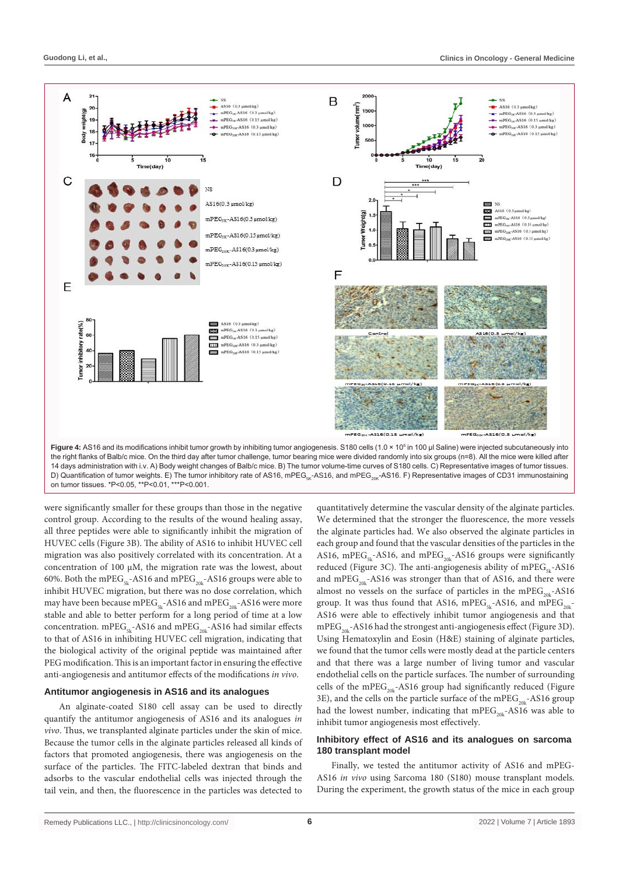

D) Quantification of tumor weights. E) The tumor inhibitory rate of AS16, mPEG<sub>ex</sub>-AS16, and mPEG<sub>20K</sub>-AS16. F) Representative images of CD31 immunostaining on tumor tissues. \*P<0.05, \*\*P<0.01, \*\*\*P<0.001.

were significantly smaller for these groups than those in the negative control group. According to the results of the wound healing assay, all three peptides were able to significantly inhibit the migration of HUVEC cells (Figure 3B). The ability of AS16 to inhibit HUVEC cell migration was also positively correlated with its concentration. At a concentration of 100 µM, the migration rate was the lowest, about 60%. Both the mPEG<sub>5k</sub>-AS16 and mPEG<sub>20k</sub>-AS16 groups were able to inhibit HUVEC migration, but there was no dose correlation, which may have been because mPEG<sub>5k</sub>-AS16 and mPEG<sub>20k</sub>-AS16 were more stable and able to better perform for a long period of time at a low concentration. mPEG<sub>5k</sub>-AS16 and mPEG<sub>20k</sub>-AS16 had similar effects to that of AS16 in inhibiting HUVEC cell migration, indicating that the biological activity of the original peptide was maintained after PEG modification. This is an important factor in ensuring the effective anti-angiogenesis and antitumor effects of the modifications *in vivo*.

#### **Antitumor angiogenesis in AS16 and its analogues**

An alginate-coated S180 cell assay can be used to directly quantify the antitumor angiogenesis of AS16 and its analogues *in vivo*. Thus, we transplanted alginate particles under the skin of mice. Because the tumor cells in the alginate particles released all kinds of factors that promoted angiogenesis, there was angiogenesis on the surface of the particles. The FITC-labeled dextran that binds and adsorbs to the vascular endothelial cells was injected through the tail vein, and then, the fluorescence in the particles was detected to

quantitatively determine the vascular density of the alginate particles. We determined that the stronger the fluorescence, the more vessels the alginate particles had. We also observed the alginate particles in each group and found that the vascular densities of the particles in the AS16, mPEG<sub>5k</sub>-AS16, and mPEG<sub>20k</sub>-AS16 groups were significantly reduced (Figure 3C). The anti-angiogenesis ability of mPEG<sub>5k</sub>-AS16 and mPEG<sub>20k</sub>-AS16 was stronger than that of AS16, and there were almost no vessels on the surface of particles in the mPEG<sub>20k</sub>-AS16 group. It was thus found that AS16, mPEG<sub>5k</sub>-AS16, and mPEG<sub>20k</sub>-AS16 were able to effectively inhibit tumor angiogenesis and that  $mPEG_{20k}$ -AS16 had the strongest anti-angiogenesis effect (Figure 3D). Using Hematoxylin and Eosin (H&E) staining of alginate particles, we found that the tumor cells were mostly dead at the particle centers and that there was a large number of living tumor and vascular endothelial cells on the particle surfaces. The number of surrounding cells of the mPEG<sub>20k</sub>-AS16 group had significantly reduced (Figure 3E), and the cells on the particle surface of the mPEG<sub>20k</sub>-AS16 group had the lowest number, indicating that  $mPEG_{20k}$ -AS16 was able to inhibit tumor angiogenesis most effectively.

#### **Inhibitory effect of AS16 and its analogues on sarcoma 180 transplant model**

Finally, we tested the antitumor activity of AS16 and mPEG-AS16 *in vivo* using Sarcoma 180 (S180) mouse transplant models. During the experiment, the growth status of the mice in each group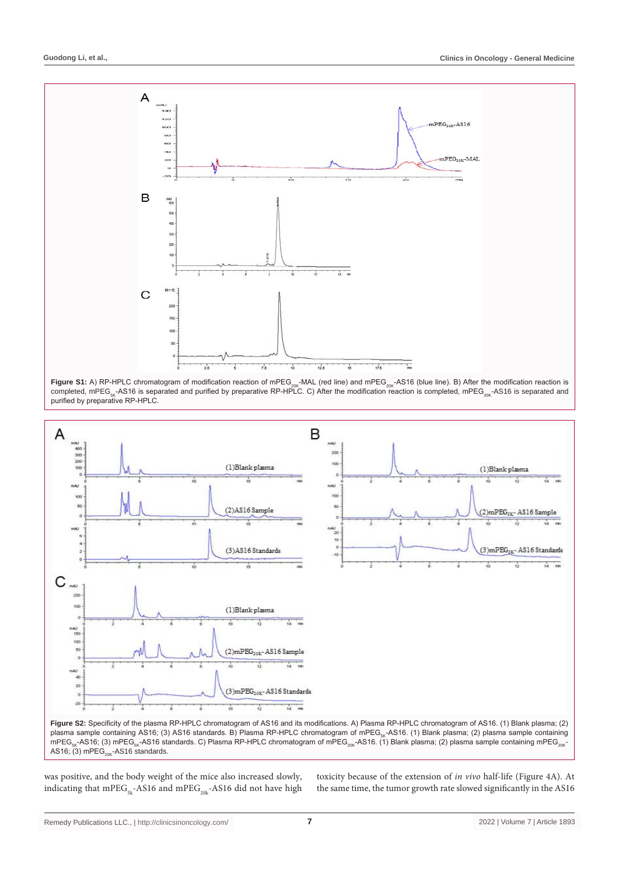





plasma sample containing AS16; (3) AS16 standards. B) Plasma RP-HPLC chromatogram of mPEG<sub>sk</sub>-AS16. (1) Blank plasma; (2) plasma sample containing mPEG<sub>sk</sub>-AS16; (3) mPEG<sub>sk</sub>-AS16 standards. C) Plasma RP-HPLC chromatogram of mPEG<sub>20K</sub>-AS16. (1) Blank plasma; (2) plasma sample containing mPEG<sub>20K</sub>-AS16;  $(3)$  mPEG<sub>20K</sub>-AS16 standards.

was positive, and the body weight of the mice also increased slowly, indicating that mPEG<sub>5k</sub>-AS16 and mPEG<sub>20k</sub>-AS16 did not have high

toxicity because of the extension of *in vivo* half-life (Figure 4A). At the same time, the tumor growth rate slowed significantly in the AS16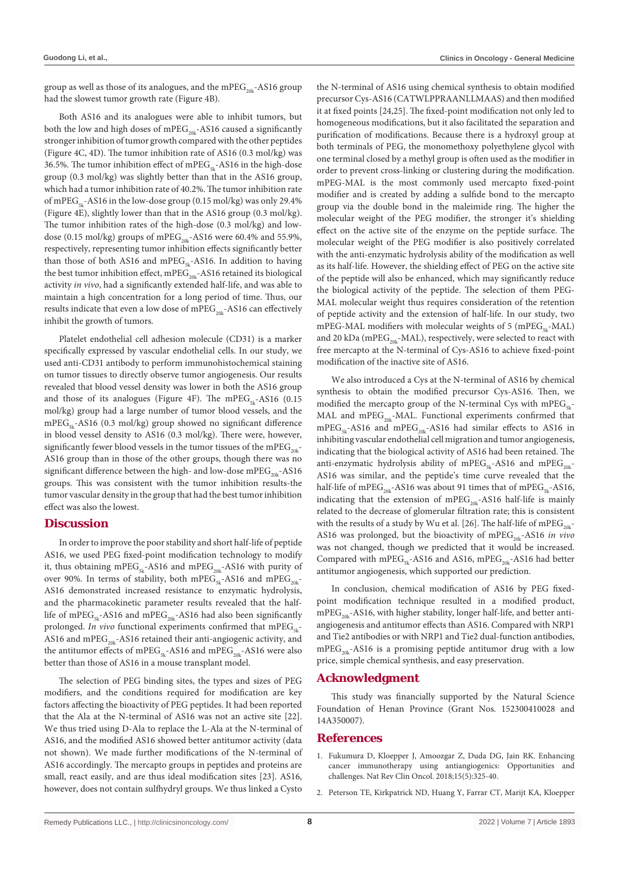group as well as those of its analogues, and the mPEG<sub>20k</sub>-AS16 group had the slowest tumor growth rate (Figure 4B).

Both AS16 and its analogues were able to inhibit tumors, but both the low and high doses of mPEG<sub>20k</sub>-AS16 caused a significantly stronger inhibition of tumor growth compared with the other peptides (Figure 4C, 4D). The tumor inhibition rate of AS16 (0.3 mol/kg) was 36.5%. The tumor inhibition effect of mPEG<sub>5k</sub>-AS16 in the high-dose group (0.3 mol/kg) was slightly better than that in the AS16 group, which had a tumor inhibition rate of 40.2%. The tumor inhibition rate of mPEG<sub>5k</sub>-AS16 in the low-dose group (0.15 mol/kg) was only 29.4% (Figure 4E), slightly lower than that in the AS16 group (0.3 mol/kg). The tumor inhibition rates of the high-dose (0.3 mol/kg) and lowdose (0.15 mol/kg) groups of mPEG<sub>20k</sub>-AS16 were 60.4% and 55.9%, respectively, representing tumor inhibition effects significantly better than those of both AS16 and mPEG<sub>5k</sub>-AS16. In addition to having the best tumor inhibition effect, mPEG<sub>20k</sub>-AS16 retained its biological activity *in vivo*, had a significantly extended half-life, and was able to maintain a high concentration for a long period of time. Thus, our results indicate that even a low dose of mPEG<sub>20k</sub>-AS16 can effectively inhibit the growth of tumors.

Platelet endothelial cell adhesion molecule (CD31) is a marker specifically expressed by vascular endothelial cells. In our study, we used anti-CD31 antibody to perform immunohistochemical staining on tumor tissues to directly observe tumor angiogenesis. Our results revealed that blood vessel density was lower in both the AS16 group and those of its analogues (Figure 4F). The mPEG<sub>5k</sub>-AS16 (0.15 mol/kg) group had a large number of tumor blood vessels, and the  $mPEG_{5k}$ -AS16 (0.3 mol/kg) group showed no significant difference in blood vessel density to AS16 (0.3 mol/kg). There were, however, significantly fewer blood vessels in the tumor tissues of the mPEG<sub>20k</sub>-AS16 group than in those of the other groups, though there was no significant difference between the high- and low-dose mPEG<sub>20k</sub>-AS16 groups. This was consistent with the tumor inhibition results-the tumor vascular density in the group that had the best tumor inhibition effect was also the lowest.

#### **Discussion**

In order to improve the poor stability and short half-life of peptide AS16, we used PEG fixed-point modification technology to modify it, thus obtaining mPEG<sub>5k</sub>-AS16 and mPEG<sub>20k</sub>-AS16 with purity of over 90%. In terms of stability, both mPEG<sub>5k</sub>-AS16 and mPEG<sub>20k</sub>-AS16 demonstrated increased resistance to enzymatic hydrolysis, and the pharmacokinetic parameter results revealed that the halflife of mPEG<sub>5k</sub>-AS16 and mPEG<sub>20k</sub>-AS16 had also been significantly prolonged. *In vivo* functional experiments confirmed that mPEG<sub>EL</sub>-AS16 and mPEG<sub>20k</sub>-AS16 retained their anti-angiogenic activity, and the antitumor effects of mPEG<sub>5k</sub>-AS16 and mPEG<sub>20k</sub>-AS16 were also better than those of AS16 in a mouse transplant model.

The selection of PEG binding sites, the types and sizes of PEG modifiers, and the conditions required for modification are key factors affecting the bioactivity of PEG peptides. It had been reported that the Ala at the N-terminal of AS16 was not an active site [22]. We thus tried using D-Ala to replace the L-Ala at the N-terminal of AS16, and the modified AS16 showed better antitumor activity (data not shown). We made further modifications of the N-terminal of AS16 accordingly. The mercapto groups in peptides and proteins are small, react easily, and are thus ideal modification sites [23]. AS16, however, does not contain sulfhydryl groups. We thus linked a Cysto

the N-terminal of AS16 using chemical synthesis to obtain modified precursor Cys-AS16 (CATWLPPRAANLLMAAS) and then modified it at fixed points [24,25]. The fixed-point modification not only led to homogeneous modifications, but it also facilitated the separation and purification of modifications. Because there is a hydroxyl group at both terminals of PEG, the monomethoxy polyethylene glycol with one terminal closed by a methyl group is often used as the modifier in order to prevent cross-linking or clustering during the modification. mPEG-MAL is the most commonly used mercapto fixed-point modifier and is created by adding a sulfide bond to the mercapto group via the double bond in the maleimide ring. The higher the molecular weight of the PEG modifier, the stronger it's shielding effect on the active site of the enzyme on the peptide surface. The molecular weight of the PEG modifier is also positively correlated with the anti-enzymatic hydrolysis ability of the modification as well as its half-life. However, the shielding effect of PEG on the active site of the peptide will also be enhanced, which may significantly reduce the biological activity of the peptide. The selection of them PEG-MAL molecular weight thus requires consideration of the retention of peptide activity and the extension of half-life. In our study, two mPEG-MAL modifiers with molecular weights of  $5$  (mPEG<sub> $5$ -</sub>-MAL) and 20 kDa (mPEG<sub>20k</sub>-MAL), respectively, were selected to react with free mercapto at the N-terminal of Cys-AS16 to achieve fixed-point modification of the inactive site of AS16.

We also introduced a Cys at the N-terminal of AS16 by chemical synthesis to obtain the modified precursor Cys-AS16. Then, we modified the mercapto group of the N-terminal Cys with  $mPEG_{5k}$ -MAL and mPEG<sub>20k</sub>-MAL. Functional experiments confirmed that  $mPEG_{5k}$ -AS16 and  $mPEG_{20k}$ -AS16 had similar effects to AS16 in inhibiting vascular endothelial cell migration and tumor angiogenesis, indicating that the biological activity of AS16 had been retained. The anti-enzymatic hydrolysis ability of mPEG<sub>5k</sub>-AS16 and mPEG<sub>20k</sub>-AS16 was similar, and the peptide's time curve revealed that the half-life of mPEG<sub>20k</sub>-AS16 was about 91 times that of mPEG<sub>5k</sub>-AS16, indicating that the extension of mPEG<sub>20k</sub>-AS16 half-life is mainly related to the decrease of glomerular filtration rate; this is consistent with the results of a study by Wu et al. [26]. The half-life of mPEG<sub>20k</sub>-AS16 was prolonged, but the bioactivity of mPEG<sub>20k</sub>-AS16 in vivo was not changed, though we predicted that it would be increased. Compared with mPEG<sub>5k</sub>-AS16 and AS16, mPEG<sub>20k</sub>-AS16 had better antitumor angiogenesis, which supported our prediction.

In conclusion, chemical modification of AS16 by PEG fixedpoint modification technique resulted in a modified product,  $mPEG_{20k}$ -AS16, with higher stability, longer half-life, and better antiangiogenesis and antitumor effects than AS16. Compared with NRP1 and Tie2 antibodies or with NRP1 and Tie2 dual-function antibodies,  $mPEG_{20k}$ -AS16 is a promising peptide antitumor drug with a low price, simple chemical synthesis, and easy preservation.

#### **Acknowledgment**

This study was financially supported by the Natural Science Foundation of Henan Province (Grant Nos. 152300410028 and 14A350007).

#### **References**

- 1. [Fukumura D, Kloepper J, Amoozgar Z, Duda DG, Jain RK. Enhancing](https://pubmed.ncbi.nlm.nih.gov/29508855/)  [cancer immunotherapy using antiangiogenics: Opportunities and](https://pubmed.ncbi.nlm.nih.gov/29508855/)  [challenges. Nat Rev Clin Oncol. 2018;15\(5\):325-40.](https://pubmed.ncbi.nlm.nih.gov/29508855/)
- 2. Peterson TE, Kirkpatrick ND, Huang Y, Farrar CT, Marijt KA, Kloepper